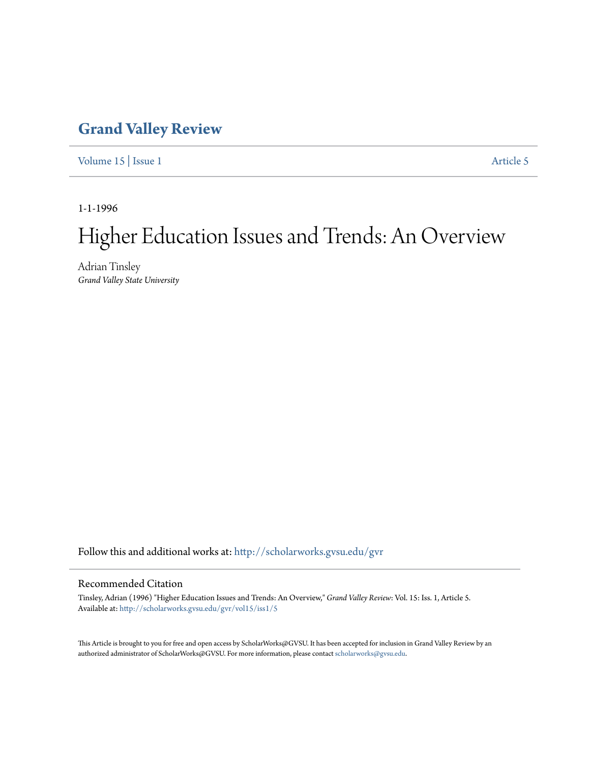## **[Grand Valley Review](http://scholarworks.gvsu.edu/gvr?utm_source=scholarworks.gvsu.edu%2Fgvr%2Fvol15%2Fiss1%2F5&utm_medium=PDF&utm_campaign=PDFCoverPages)**

[Volume 15](http://scholarworks.gvsu.edu/gvr/vol15?utm_source=scholarworks.gvsu.edu%2Fgvr%2Fvol15%2Fiss1%2F5&utm_medium=PDF&utm_campaign=PDFCoverPages) | [Issue 1](http://scholarworks.gvsu.edu/gvr/vol15/iss1?utm_source=scholarworks.gvsu.edu%2Fgvr%2Fvol15%2Fiss1%2F5&utm_medium=PDF&utm_campaign=PDFCoverPages) [Article 5](http://scholarworks.gvsu.edu/gvr/vol15/iss1/5?utm_source=scholarworks.gvsu.edu%2Fgvr%2Fvol15%2Fiss1%2F5&utm_medium=PDF&utm_campaign=PDFCoverPages)

1-1-1996

## Higher Education Issues and Trends: An Overview

Adrian Tinsley *Grand Valley State University*

Follow this and additional works at: [http://scholarworks.gvsu.edu/gvr](http://scholarworks.gvsu.edu/gvr?utm_source=scholarworks.gvsu.edu%2Fgvr%2Fvol15%2Fiss1%2F5&utm_medium=PDF&utm_campaign=PDFCoverPages)

## Recommended Citation

Tinsley, Adrian (1996) "Higher Education Issues and Trends: An Overview," *Grand Valley Review*: Vol. 15: Iss. 1, Article 5. Available at: [http://scholarworks.gvsu.edu/gvr/vol15/iss1/5](http://scholarworks.gvsu.edu/gvr/vol15/iss1/5?utm_source=scholarworks.gvsu.edu%2Fgvr%2Fvol15%2Fiss1%2F5&utm_medium=PDF&utm_campaign=PDFCoverPages)

This Article is brought to you for free and open access by ScholarWorks@GVSU. It has been accepted for inclusion in Grand Valley Review by an authorized administrator of ScholarWorks@GVSU. For more information, please contact [scholarworks@gvsu.edu.](mailto:scholarworks@gvsu.edu)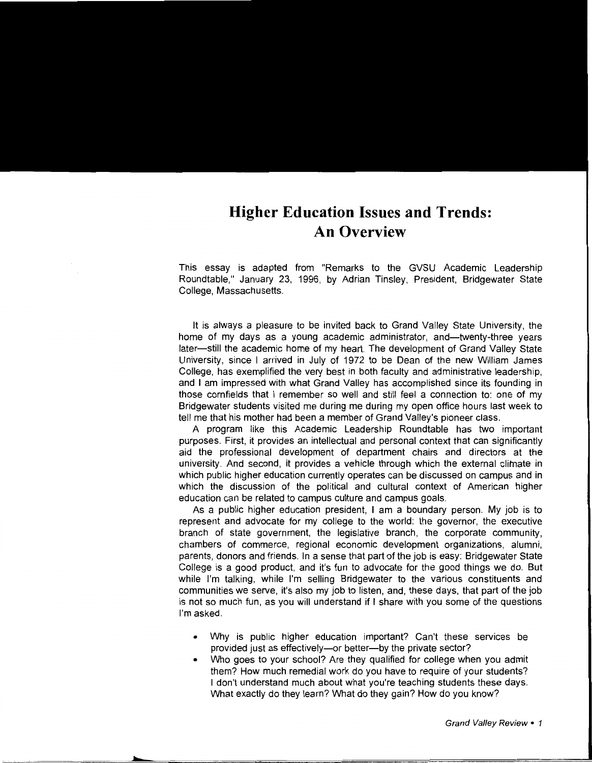## **Higher Education Issues and Trends: An Overview**

This essay is adapted from "Remarks to the GVSU Academic Leadership Roundtable," January 23, 1996, by Adrian Tinsley, President, Bridgewater State College, Massachusetts.

It is always a pleasure to be invited back to Grand Valley State University, the home of my days as a young academic administrator, and—twenty-three years later-still the academic home of my heart. The development of Grand Valley State University, since I arrived in July of 1972 to be Dean of the new William James College, has exemplified the very best in both faculty and administrative leadership, and I am impressed with what Grand Valley has accomplished since its founding in those cornfields that I remember so well and still feel a connection to: one of my Bridgewater students visited me during me during my open office hours last week to tell me that his mother had been a member of Grand Valley's pioneer class.

A program like this Academic Leadership Roundtable has two important purposes. First, it provides an intellectual and personal context that can significantly aid the professional development of department chairs and directors at the university. And second, it provides a vehicle through which the external clitnate in which public higher education currently operates can be discussed on campus and in which the discussion of the political and cultural context of American higher education can be related to campus culture and campus goals.

As a public higher education president, I am a boundary person. My job is to represent and advocate for my college to the world: the governor, the executive branch of state government, the legislative branch, the corporate community, chambers of commerce, regional economic development organizations, alumni, parents, donors and friends. In a sense that part of the job is easy: Bridgewater State College is a good product, and it's fun to advocate for the good things we do. But while I'm talking, while I'm selling Bridgewater to the various constituents and communities we serve, it's also my job to listen, and, these days, that part of the job is not so much fun, as you will understand if I share with you some of the questions I'm asked.

- Why is public higher education important? Can't these services be provided just as effectively—or better—by the private sector?
- Who goes to your school? Are they qualified for college when you admit them? How much remedial work do you have to require of your students? I don't understand much about what you're teaching students these days. What exactly do they learn? What do they gain? How do you know?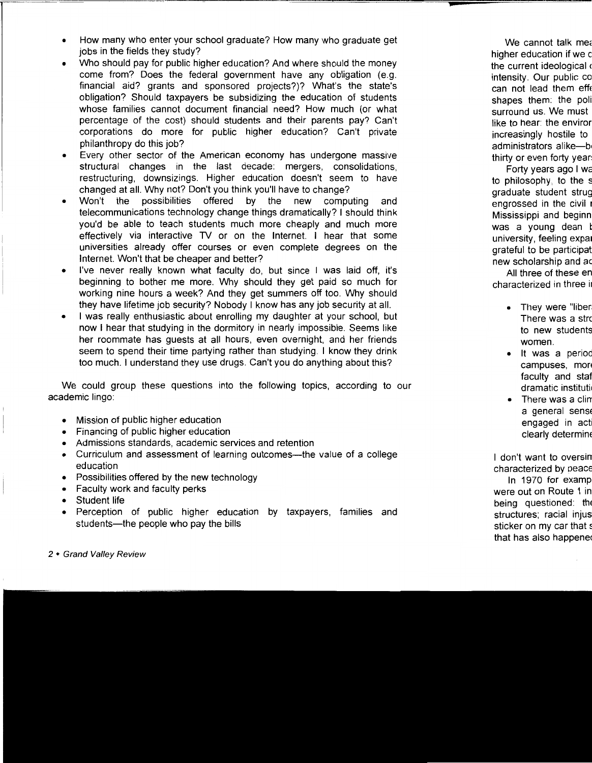- How many who enter your school graduate? How many who graduate get jobs in the fields they study?
- Who should pay for public higher education? And where should the money come from? Does the federal government have any obligation (e.g. financial aid? grants and sponsored projects?)? What's the state's obligation? Should taxpayers be subsidizing the education of students whose families cannot document financial need? How much (or what percentage of the cost) should students and their parents pay? Can't corporations do more for public higher education? Can't private philanthropy do this job?
- Every other sector of the American economy has undergone massive structural changes in the last decade: mergers, consolidations, restructuring, downsizings. Higher education doesn't seem to have changed at all. Why not? Don't you think you'll have to change?
- Won't the possibilities offered by the new computing and telecommunications technology change things dramatically? I should think you'd be able to teach students much more cheaply and much more effectively via interactive TV or on the Internet. I hear that some universities already offer courses or even complete degrees on the Internet. Won't that be cheaper and better?
- I've never really known what faculty do, but since I was laid off, it's beginning to bother me more. Why should they get paid so much for working nine hours a week? And they get summers off too. Why should they have lifetime job security? Nobody I know has any job security at all.
- I was really enthusiastic about enrolling my daughter at your school, but now I hear that studying in the dormitory in nearly impossible. Seems like her roommate has guests at all hours, even overnight, and her friends seem to spend their time partying rather than studying. I know they drink too much. I understand they use drugs. Can't you do anything about this?

We could group these questions into the following topics, according to our academic lingo:

- Mission of public higher education
- Financing of public higher education
- Admissions standards, academic services and retention
- Curriculum and assessment of learning outcomes-the value of a college education
- Possibilities offered by the new technology
- Faculty work and faculty perks
- Student life
- Perception of public higher education by taxpayers, families and students-the people who pay the bills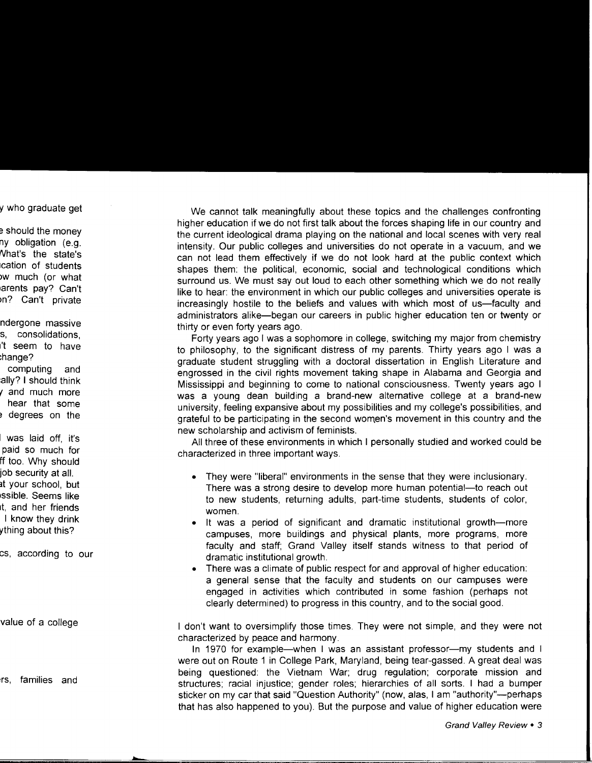We cannot talk meaningfully about these topics and the challenges confronting higher education if we do not first talk about the forces shaping life in our country and the current ideological drama playing on the national and local scenes with very real intensity. Our public colleges and universities do not operate in a vacuum, and we can not lead them effectively if we do not look hard at the public context which shapes them: the political, economic, social and technological conditions which surround us. We must say out loud to each other something which we do not really like to hear: the environment in which our public colleges and universities operate is increasingly hostile to the beliefs and values with which most of us—faculty and administrators alike-began our careers in public higher education ten or twenty or thirty or even forty years ago.

Forty years ago I was a sophomore in college, switching my major from chemistry to philosophy, to the significant distress of my parents. Thirty years ago I was a graduate student struggling with a doctoral dissertation in English Literature and engrossed in the civil rights movement taking shape in Alabama and Georgia and Mississippi and beginning to come to national consciousness. Twenty years ago I was a young dean building a brand-new alternative college at a brand-new university, feeling expansive about my possibilities and my college's possibilities, and grateful to be participating in the second women's movement in this country and the new scholarship and activism of feminists.

All three of these environments in which I personally studied and worked could be characterized in three important ways.

- They were "liberal" environments in the sense that they were inclusionary. There was a strong desire to develop more human potential—to reach out to new students, returning adults, part-time students, students of color, women.
- It was a period of significant and dramatic institutional growth-more campuses, more buildings and physical plants, more programs, more faculty and staff; Grand Valley itself stands witness to that period of dramatic institutional growth.
- There was a climate of public respect for and approval of higher education: a general sense that the faculty and students on our campuses were engaged in activities which contributed in some fashion (perhaps not clearly determined) to progress in this country, and to the social good.

I don't want to oversimplify those times. They were not simple, and they were not characterized by peace and harmony.

In 1970 for example—when I was an assistant professor—my students and I were out on Route 1 in College Park, Maryland, being tear-gassed. A great deal was being questioned: the Vietnam War; drug regulation; corporate mission and structures; racial injustice; gender roles; hierarchies of all sorts. I had a bumper sticker on my car that said "Question Authority" (now, alas, I am "authority"-perhaps that has also happened to you). But the purpose and value of higher education were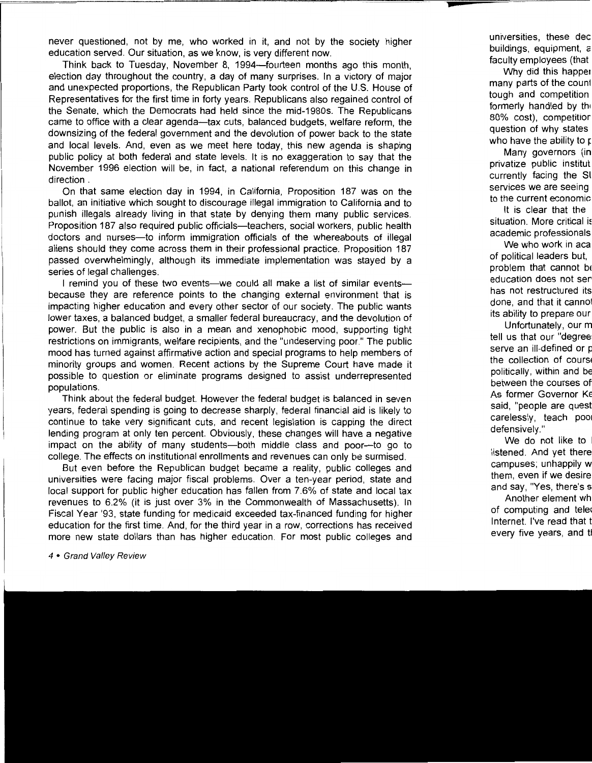never questioned, not by me, who worked in it, and not by the society higher education served. Our situation, as we know, is very different now.

Think back to Tuesday, November 8, 1994-fourteen months ago this month, election day throughout the country, a day of many surprises. In a victory of major and unexpected proportions, the Republican Party took control of the U.S. House of Representatives for the first time in forty years. Republicans also regained control of the Senate, which the Democrats had held since the mid-1980s. The Republicans came to office with a clear agenda-tax cuts, balanced budgets, welfare reform, the downsizing of the federal government and the devolution of power back to the state and local levels. And, even as we meet here today, this new agenda is shaping public policy at both federal and state levels. It is no exaggeration to say that the November 1996 election will be, in fact, a national referendum on this change in direction.

On that same election day in 1994, in California, Proposition 187 was on the ballot, an initiative which sought to discourage illegal immigration to California and to punish illegals already living in that state by denying them many public services. Proposition 187 also required public officials-teachers, social workers, public health doctors and nurses-to inform immigration officials of the whereabouts of illegal aliens should they come across them in their professional practice. Proposition 187 passed overwhelmingly, although its immediate implementation was stayed by a series of legal challenges.

I remind you of these two events—we could all make a list of similar events because they are reference points to the changing external environment that is impacting higher education and every other sector of our society. The public wants lower taxes, a balanced budget, a smaller federal bureaucracy, and the devolution of power. But the public is also in a mean and xenophobic mood, supporting tight restrictions on immigrants, welfare recipients, and the "undeserving poor." The public mood has turned against affirmative action and special programs to help members of minority groups and women. Recent actions by the Supreme Court have made it possible to question or eliminate programs designed to assist underrepresented populations.

Think about the federal budget. However the federal budget is balanced in seven years, federal spending is going to decrease sharply, federal financial aid is likely to continue to take very significant cuts, and recent legislation is capping the direct lending program at only ten percent. Obviously, these changes will have a negative impact on the ability of many students-both middle class and poor-to go to college. The effects on institutional enrollments and revenues can only be surmised.

But even before the Republican budget became a reality, public colleges and universities were facing major fiscal problems. Over a ten-year period, state and local support for public higher education has fallen from 7.6% of state and local tax revenues to 6.2% (it is just over 3% in the Commonwealth of Massachusetts). In Fiscal Year '93, state funding for medicaid exceeded tax-financed funding for higher education for the first time. And, for the third year in a row, corrections has received more new state dollars than has higher education. For most public colleges and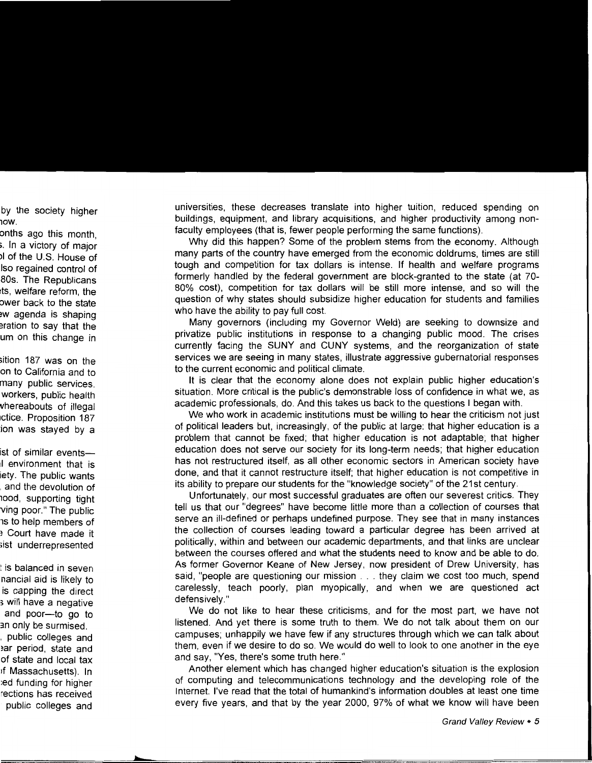universities, these decreases translate into higher tuition, reduced spending on buildings, equipment, and library acquisitions, and higher productivity among nonfaculty employees (that is, fewer people performing the same functions).

Why did this happen? Some of the problem stems from the economy. Although many parts of the country have emerged from the economic doldrums, times are still tough and competition for tax dollars is intense. If health and welfare programs formerly handled by the federal government are block-granted to the state (at 70- 80% cost), competition for tax dollars will be still more intense, and so will the question of why states should subsidize higher education for students and families who have the ability to pay full cost.

Many governors (including my Governor Weld) are seeking to downsize and privatize public institutions in response to a changing public mood. The crises currently facing the SUNY and CUNY systems, and the reorganization of state services we are seeing in many states, illustrate aggressive gubernatorial responses to the current economic and political climate.

It is clear that the economy alone does not explain public higher education's situation. More critical is the public's demonstrable loss of confidence in what we, as academic professionals, do. And this takes us back to the questions I began with.

We who work in academic institutions must be willing to hear the criticism not just of political leaders but, increasingly, of the public at large: that higher education is a problem that cannot be fixed; that higher education is not adaptable; that higher education does not serve our society for its long-term needs; that higher education has not restructured itself, as all other economic sectors in American society have done, and that it cannot restructure itself; that higher education is not competitive in its ability to prepare our students for the "knowledge society" of the 21st century .

Unfortunately, our most successful graduates are often our severest critics. They tell us that our "degrees" have become little more than a collection of courses that serve an ill-defined or perhaps undefined purpose. They see that in many instances the collection of courses leading toward a particular degree has been arrived at politically, within and between our academic departments, and that links are unclear between the courses offered and what the students need to know and be able to do. As former Governor Keane of New Jersey, now president of Drew University, has said, "people are questioning our mission ... they claim we cost too much, spend carelessly, teach poorly, plan myopically, and when we are questioned act defensively."

We do not like to hear these criticisms, and for the most part, we have not listened. And yet there is some truth to them. We do not talk about them on our campuses; unhappily we have few if any structures through which we can talk about them, even if we desire to do so. We would do well to look to one another in the eye and say, "Yes, there's some truth here."

Another element which has changed higher education's situation is the explosion of computing and telecommunications technology and the developing role of the Internet. I've read that the total of humankind's information doubles at least one time every five years, and that by the year 2000, 97% of what we know will have been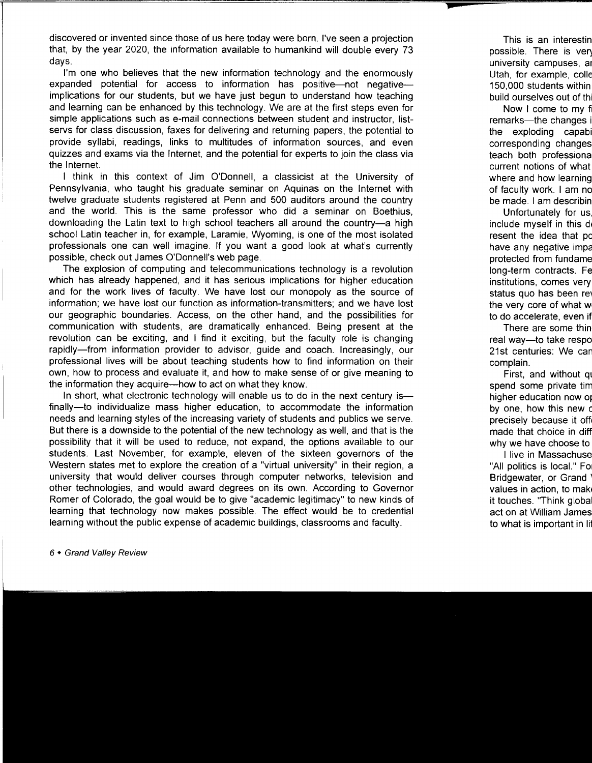discovered or invented since those of us here today were born. I've seen a projection that, by the year 2020, the information available to humankind will double every 73 days.

I'm one who believes that the new information technology and the enormously expanded potential for access to information has positive-not negativeimplications for our students, but we have just begun to understand how teaching and learning can be enhanced by this technology. We are at the first steps even for simple applications such as e-mail connections between student and instructor, listservs for class discussion, faxes for delivering and returning papers, the potential to provide syllabi, readings, links to multitudes of information sources, and even quizzes and exams via the Internet, and the potential for experts to join the class via the Internet.

I think in this context of Jim O'Donnell, a classicist at the University of Pennsylvania, who taught his graduate seminar on Aquinas on the Internet with twelve graduate students registered at Penn and 500 auditors around the country and the world. This is the same professor who did a seminar on Boethius, downloading the Latin text to high school teachers all around the country-a high school Latin teacher in, for example, Laramie, Wyoming, is one of the most isolated professionals one can well imagine. If you want a good look at what's currently possible, check out James O'Donnell's web page.

The explosion of computing and telecommunications technology is a revolution which has already happened, and it has serious implications for higher education and for the work lives of faculty. We have lost our monopoly as the source of information; we have lost our function as information-transmitters; and we have lost our geographic boundaries. Access, on the other hand, and the possibilities for communication with students, are dramatically enhanced. Being present at the revolution can be exciting, and I find it exciting, but the faculty role is changing rapidly-from information provider to advisor, guide and coach. Increasingly, our professional lives will be about teaching students how to find information on their own, how to process and evaluate it, and how to make sense of or give meaning to the information they acquire-how to act on what they know.

In short, what electronic technology will enable us to do in the next century isfinally-to individualize mass higher education, to accommodate the information needs and learning styles of the increasing variety of students and publics we serve. But there is a downside to the potential of the new technology as well, and that is the possibility that it will be used to reduce, not expand, the options available to our students. Last November, for example, eleven of the sixteen governors of the Western states met to explore the creation of a "virtual university" in their region, a university that would deliver courses through computer networks, television and other technologies, and would award degrees on its own. According to Governor Romer of Colorado, the goal would be to give "academic legitimacy" to new kinds of learning that technology now makes possible. The effect would be to credential learning without the public expense of academic buildings, classrooms and faculty.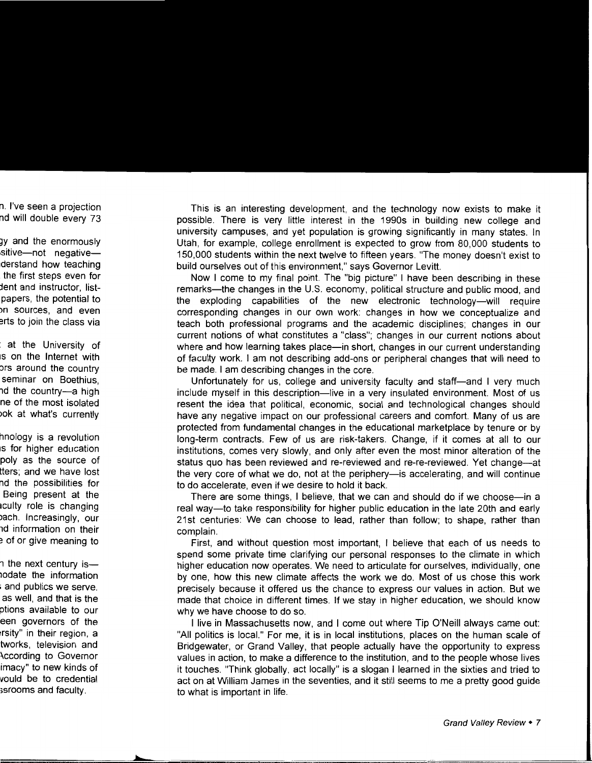This is an interesting development, and the technology now exists to make it possible. There is very little interest in the 1990s in building new college and university campuses, and yet population is growing significantly in many states. In Utah, for example, college enrollment is expected to grow from 80,000 students to 150,000 students within the next twelve to fifteen years. "The money doesn't exist to build ourselves out of this environment," says Governor Levitt.

Now I come to my final point. The "big picture" I have been describing in these remarks-the changes in the U.S. economy, political structure and public mood, and the exploding capabilities of the new electronic technology-will require corresponding changes in our own work: changes in how we conceptualize and teach both professional programs and the academic disciplines; changes in our current notions of what constitutes a "class"; changes in our current notions about where and how learning takes place—in short, changes in our current understanding of faculty work. I am not describing add-ons or peripheral changes that will need to be made. I am describing changes in the core.

Unfortunately for us, college and university faculty and staff-and I very much include myself in this description—live in a very insulated environment. Most of us resent the idea that political, economic, social and technological changes should have any negative impact on our professional careers and comfort. Many of us are protected from fundamental changes in the educational marketplace by tenure or by long-term contracts. Few of us are risk-takers. Change, if it comes at all to our institutions, comes very slowly, and only after even the most minor alteration of the status quo has been reviewed and re-reviewed and re-re-reviewed. Yet change-at the very core of what we do, not at the periphery—is accelerating, and will continue to do accelerate, even if we desire to hold it back.

There are some things, I believe, that we can and should do if we choose—in a real way-to take responsibility for higher public education in the late 20th and early 21st centuries: We can choose to lead, rather than follow; to shape, rather than complain.

First, and without question most important, I believe that each of us needs to spend some private time clarifying our personal responses to the climate in which higher education now operates. We need to articulate for ourselves, individually, one by one, how this new climate affects the work we do. Most of us chose this work precisely because it offered us the chance to express our values in action. But we made that choice in different times. If we stay in higher education, we should know why we have choose to do so.

I live in Massachusetts now, and I come out where Tip O'Neill always came out: "All politics is local." For me, it is in local institutions, places on the human scale of Bridgewater, or Grand Valley, that people actually have the opportunity to express values in action, to make a difference to the institution, and to the people whose lives it touches. "Think globally, act locally" is a slogan I learned in the sixties and tried to act on at William James in the seventies, and it still seems to me a pretty good guide to what is important in life.